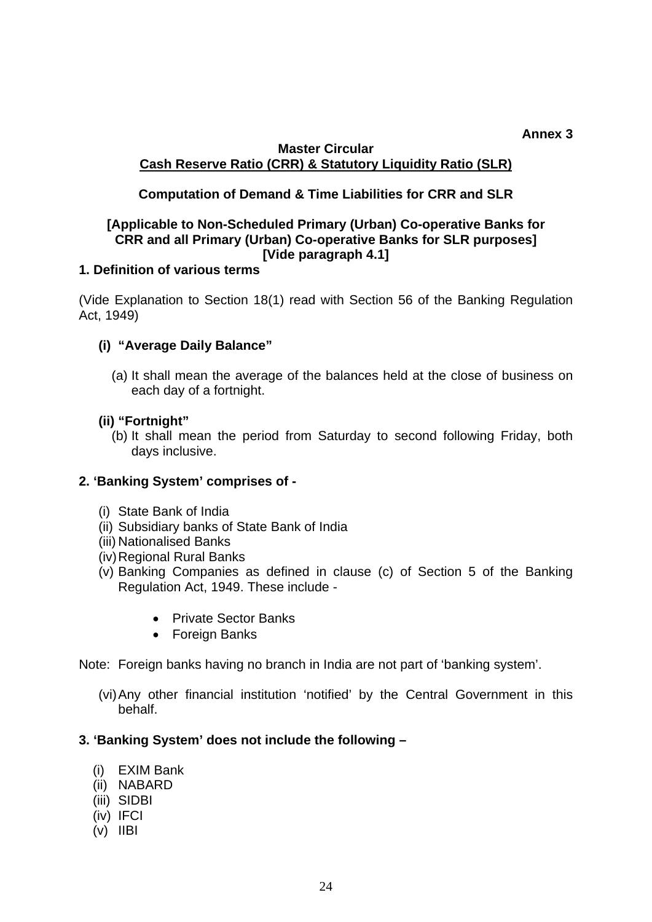#### **Annex 3 Master Circular Cash Reserve Ratio (CRR) & Statutory Liquidity Ratio (SLR)**

# **Computation of Demand & Time Liabilities for CRR and SLR**

## **[Applicable to Non-Scheduled Primary (Urban) Co-operative Banks for CRR and all Primary (Urban) Co-operative Banks for SLR purposes] [Vide paragraph 4.1]**

## **1. Definition of various terms**

(Vide Explanation to Section 18(1) read with Section 56 of the Banking Regulation Act, 1949)

## **(i) "Average Daily Balance"**

(a) It shall mean the average of the balances held at the close of business on each day of a fortnight.

## **(ii) "Fortnight"**

(b) It shall mean the period from Saturday to second following Friday, both days inclusive.

## **2. 'Banking System' comprises of -**

- (i) State Bank of India
- (ii) Subsidiary banks of State Bank of India
- (iii) Nationalised Banks
- (iv) Regional Rural Banks
- (v) Banking Companies as defined in clause (c) of Section 5 of the Banking Regulation Act, 1949. These include -
	- Private Sector Banks
	- Foreign Banks
- Note: Foreign banks having no branch in India are not part of 'banking system'.
	- (vi) Any other financial institution 'notified' by the Central Government in this behalf.

## **3. 'Banking System' does not include the following –**

- (i) EXIM Bank
- (ii) NABARD
- (iii) SIDBI
- (iv) IFCI
- (v) IIBI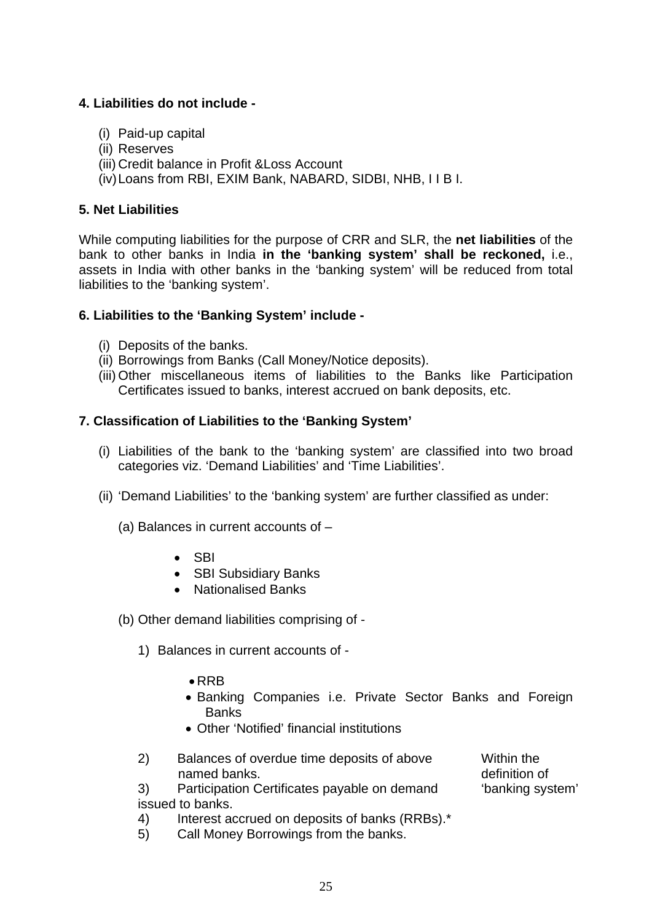# **4. Liabilities do not include -**

- (i) Paid-up capital
- (ii) Reserves
- (iii) Credit balance in Profit &Loss Account
- (iv) Loans from RBI, EXIM Bank, NABARD, SIDBI, NHB, I I B I.

## **5. Net Liabilities**

While computing liabilities for the purpose of CRR and SLR, the **net liabilities** of the bank to other banks in India **in the 'banking system' shall be reckoned,** i.e., assets in India with other banks in the 'banking system' will be reduced from total liabilities to the 'banking system'.

## **6. Liabilities to the 'Banking System' include -**

- (i) Deposits of the banks.
- (ii) Borrowings from Banks (Call Money/Notice deposits).
- (iii) Other miscellaneous items of liabilities to the Banks like Participation Certificates issued to banks, interest accrued on bank deposits, etc.

## **7. Classification of Liabilities to the 'Banking System'**

- (i) Liabilities of the bank to the 'banking system' are classified into two broad categories viz. 'Demand Liabilities' and 'Time Liabilities'.
- (ii) 'Demand Liabilities' to the 'banking system' are further classified as under:
	- (a) Balances in current accounts of
		- SBI
		- SBI Subsidiary Banks
		- Nationalised Banks
	- (b) Other demand liabilities comprising of
		- 1) Balances in current accounts of
			- RRB
			- Banking Companies i.e. Private Sector Banks and Foreign **Banks**
			- Other 'Notified' financial institutions
		- 2) Balances of overdue time deposits of above named banks. Within the definition of 'banking system'
		- 3) Participation Certificates payable on demand issued to banks.
		- 4) Interest accrued on deposits of banks (RRBs).\*
		- 5) Call Money Borrowings from the banks.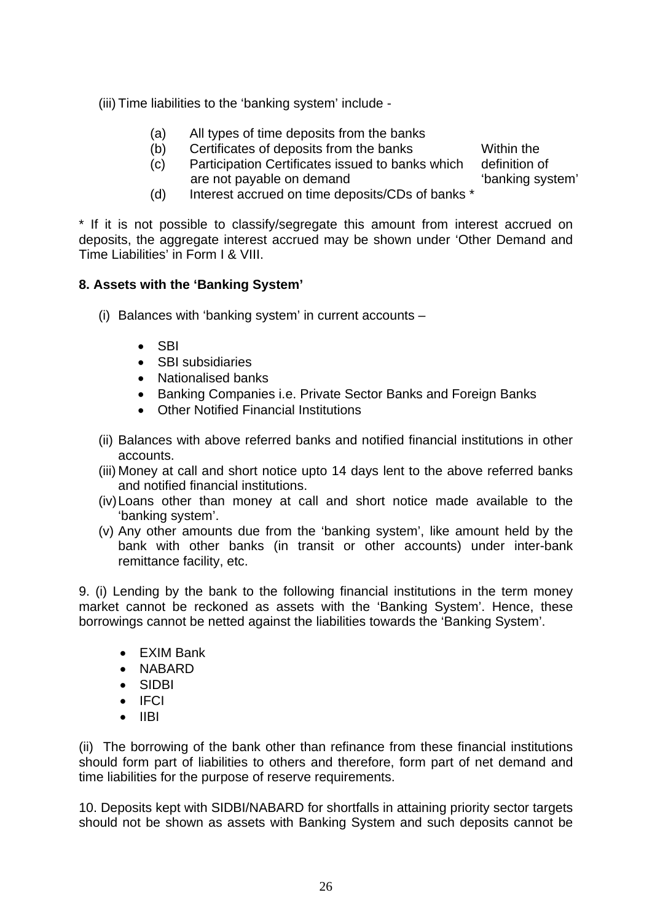(iii) Time liabilities to the 'banking system' include -

- (a) All types of time deposits from the banks
- (b) Certificates of deposits from the banks
- (c) Participation Certificates issued to banks which are not payable on demand definition of 'banking system'

Within the

(d) Interest accrued on time deposits/CDs of banks \*

\* If it is not possible to classify/segregate this amount from interest accrued on deposits, the aggregate interest accrued may be shown under 'Other Demand and Time Liabilities' in Form I & VIII.

# **8. Assets with the 'Banking System'**

- (i) Balances with 'banking system' in current accounts
	- SBI
	- SBI subsidiaries
	- Nationalised banks
	- Banking Companies i.e. Private Sector Banks and Foreign Banks
	- Other Notified Financial Institutions
- (ii) Balances with above referred banks and notified financial institutions in other accounts.
- (iii) Money at call and short notice upto 14 days lent to the above referred banks and notified financial institutions.
- (iv) Loans other than money at call and short notice made available to the 'banking system'.
- (v) Any other amounts due from the 'banking system', like amount held by the bank with other banks (in transit or other accounts) under inter-bank remittance facility, etc.

9. (i) Lending by the bank to the following financial institutions in the term money market cannot be reckoned as assets with the 'Banking System'. Hence, these borrowings cannot be netted against the liabilities towards the 'Banking System'.

- EXIM Bank
- NABARD
- SIDBI
- IFCI
- IIBI

(ii) The borrowing of the bank other than refinance from these financial institutions should form part of liabilities to others and therefore, form part of net demand and time liabilities for the purpose of reserve requirements.

10. Deposits kept with SIDBI/NABARD for shortfalls in attaining priority sector targets should not be shown as assets with Banking System and such deposits cannot be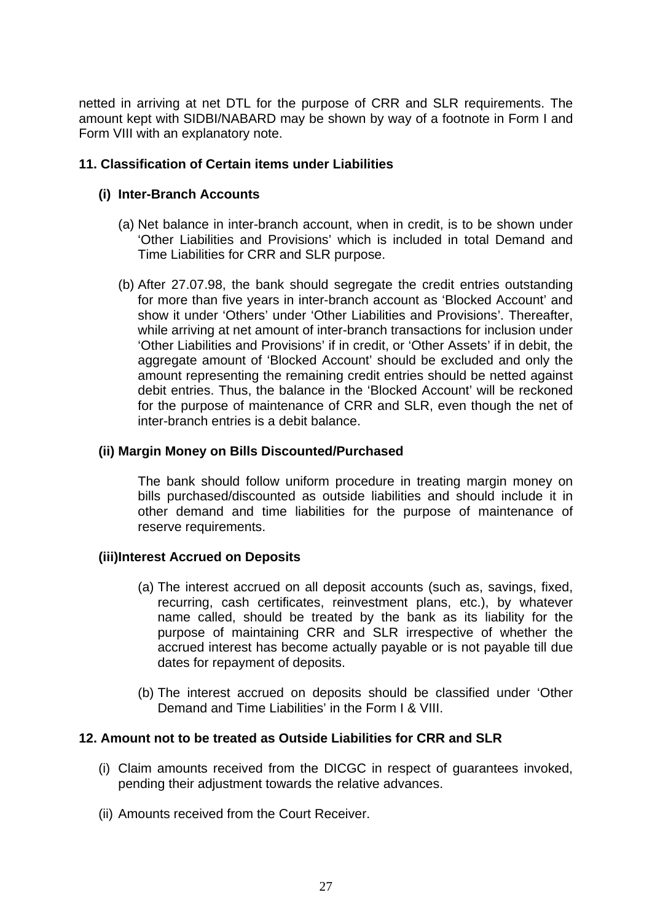netted in arriving at net DTL for the purpose of CRR and SLR requirements. The amount kept with SIDBI/NABARD may be shown by way of a footnote in Form I and Form VIII with an explanatory note.

### **11. Classification of Certain items under Liabilities**

#### **(i) Inter-Branch Accounts**

- (a) Net balance in inter-branch account, when in credit, is to be shown under 'Other Liabilities and Provisions' which is included in total Demand and Time Liabilities for CRR and SLR purpose.
- (b) After 27.07.98, the bank should segregate the credit entries outstanding for more than five years in inter-branch account as 'Blocked Account' and show it under 'Others' under 'Other Liabilities and Provisions'. Thereafter, while arriving at net amount of inter-branch transactions for inclusion under 'Other Liabilities and Provisions' if in credit, or 'Other Assets' if in debit, the aggregate amount of 'Blocked Account' should be excluded and only the amount representing the remaining credit entries should be netted against debit entries. Thus, the balance in the 'Blocked Account' will be reckoned for the purpose of maintenance of CRR and SLR, even though the net of inter-branch entries is a debit balance.

#### **(ii) Margin Money on Bills Discounted/Purchased**

The bank should follow uniform procedure in treating margin money on bills purchased/discounted as outside liabilities and should include it in other demand and time liabilities for the purpose of maintenance of reserve requirements.

## **(iii)Interest Accrued on Deposits**

- (a) The interest accrued on all deposit accounts (such as, savings, fixed, recurring, cash certificates, reinvestment plans, etc.), by whatever name called, should be treated by the bank as its liability for the purpose of maintaining CRR and SLR irrespective of whether the accrued interest has become actually payable or is not payable till due dates for repayment of deposits.
- (b) The interest accrued on deposits should be classified under 'Other Demand and Time Liabilities' in the Form I & VIII.

#### **12. Amount not to be treated as Outside Liabilities for CRR and SLR**

- (i) Claim amounts received from the DICGC in respect of guarantees invoked, pending their adjustment towards the relative advances.
- (ii) Amounts received from the Court Receiver.